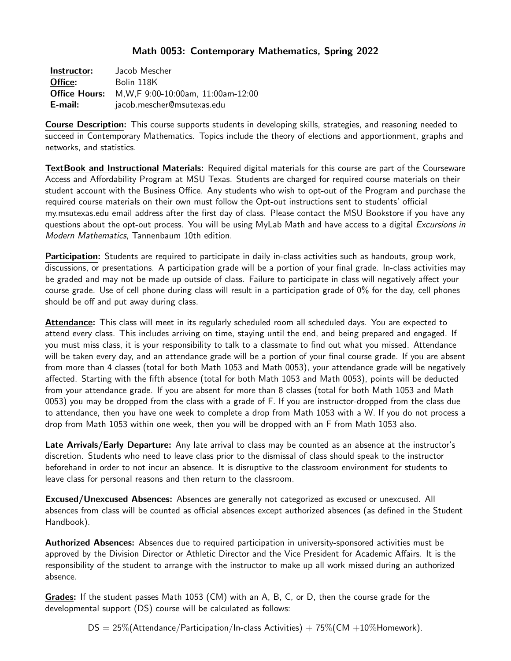## Math 0053: Contemporary Mathematics, Spring 2022

| Instructor:          | Jacob Mescher                       |
|----------------------|-------------------------------------|
| Office:              | Bolin 118K                          |
| <b>Office Hours:</b> | M, W, F 9:00-10:00am, 11:00am-12:00 |
| E-mail:              | jacob.mescher@msutexas.edu          |

**Course Description:** This course supports students in developing skills, strategies, and reasoning needed to succeed in Contemporary Mathematics. Topics include the theory of elections and apportionment, graphs and networks, and statistics.

TextBook and Instructional Materials: Required digital materials for this course are part of the Courseware Access and Affordability Program at MSU Texas. Students are charged for required course materials on their student account with the Business Office. Any students who wish to opt-out of the Program and purchase the required course materials on their own must follow the Opt-out instructions sent to students' official my.msutexas.edu email address after the first day of class. Please contact the MSU Bookstore if you have any questions about the opt-out process. You will be using MyLab Math and have access to a digital Excursions in Modern Mathematics, Tannenbaum 10th edition.

Participation: Students are required to participate in daily in-class activities such as handouts, group work, discussions, or presentations. A participation grade will be a portion of your final grade. In-class activities may be graded and may not be made up outside of class. Failure to participate in class will negatively affect your course grade. Use of cell phone during class will result in a participation grade of 0% for the day, cell phones should be off and put away during class.

Attendance: This class will meet in its regularly scheduled room all scheduled days. You are expected to attend every class. This includes arriving on time, staying until the end, and being prepared and engaged. If you must miss class, it is your responsibility to talk to a classmate to find out what you missed. Attendance will be taken every day, and an attendance grade will be a portion of your final course grade. If you are absent from more than 4 classes (total for both Math 1053 and Math 0053), your attendance grade will be negatively affected. Starting with the fifth absence (total for both Math 1053 and Math 0053), points will be deducted from your attendance grade. If you are absent for more than 8 classes (total for both Math 1053 and Math 0053) you may be dropped from the class with a grade of F. If you are instructor-dropped from the class due to attendance, then you have one week to complete a drop from Math 1053 with a W. If you do not process a drop from Math 1053 within one week, then you will be dropped with an F from Math 1053 also.

Late Arrivals/Early Departure: Any late arrival to class may be counted as an absence at the instructor's discretion. Students who need to leave class prior to the dismissal of class should speak to the instructor beforehand in order to not incur an absence. It is disruptive to the classroom environment for students to leave class for personal reasons and then return to the classroom.

Excused/Unexcused Absences: Absences are generally not categorized as excused or unexcused. All absences from class will be counted as official absences except authorized absences (as defined in the Student Handbook).

Authorized Absences: Absences due to required participation in university-sponsored activities must be approved by the Division Director or Athletic Director and the Vice President for Academic Affairs. It is the responsibility of the student to arrange with the instructor to make up all work missed during an authorized absence.

Grades: If the student passes Math 1053 (CM) with an A, B, C, or D, then the course grade for the developmental support (DS) course will be calculated as follows:

 $DS = 25\%$ (Attendance/Participation/In-class Activities) + 75\% (CM +10\% Homework).